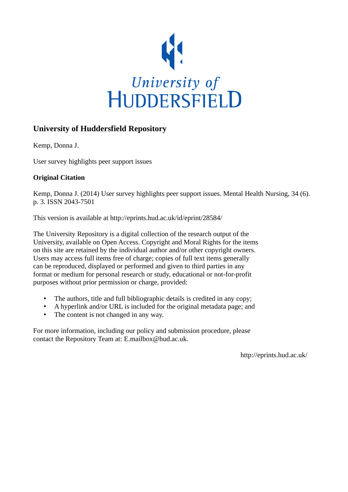

## **University of Huddersfield Repository**

Kemp, Donna J.

User survey highlights peer support issues

## **Original Citation**

Kemp, Donna J. (2014) User survey highlights peer support issues. Mental Health Nursing, 34 (6). p. 3. ISSN 2043-7501

This version is available at http://eprints.hud.ac.uk/id/eprint/28584/

The University Repository is a digital collection of the research output of the University, available on Open Access. Copyright and Moral Rights for the items on this site are retained by the individual author and/or other copyright owners. Users may access full items free of charge; copies of full text items generally can be reproduced, displayed or performed and given to third parties in any format or medium for personal research or study, educational or not-for-profit purposes without prior permission or charge, provided:

- The authors, title and full bibliographic details is credited in any copy;
- A hyperlink and/or URL is included for the original metadata page; and
- The content is not changed in any way.

For more information, including our policy and submission procedure, please contact the Repository Team at: E.mailbox@hud.ac.uk.

http://eprints.hud.ac.uk/